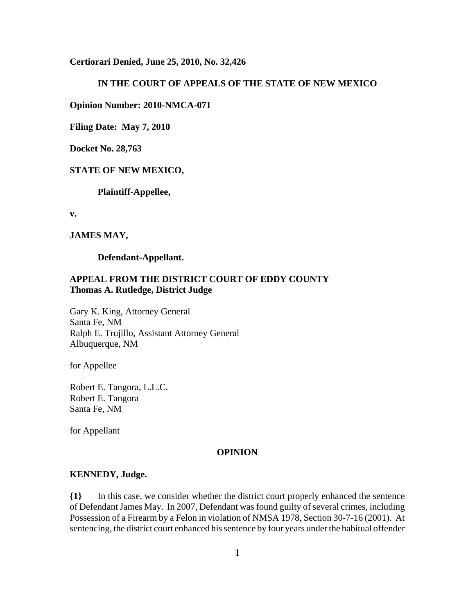**Certiorari Denied, June 25, 2010, No. 32,426**

### **IN THE COURT OF APPEALS OF THE STATE OF NEW MEXICO**

**Opinion Number: 2010-NMCA-071**

**Filing Date: May 7, 2010**

**Docket No. 28,763**

#### **STATE OF NEW MEXICO,**

**Plaintiff-Appellee,**

**v.**

#### **JAMES MAY,**

**Defendant-Appellant.**

## **APPEAL FROM THE DISTRICT COURT OF EDDY COUNTY Thomas A. Rutledge, District Judge**

Gary K. King, Attorney General Santa Fe, NM Ralph E. Trujillo, Assistant Attorney General Albuquerque, NM

for Appellee

Robert E. Tangora, L.L.C. Robert E. Tangora Santa Fe, NM

for Appellant

#### **OPINION**

### **KENNEDY, Judge.**

**{1}** In this case, we consider whether the district court properly enhanced the sentence of Defendant James May. In 2007, Defendant was found guilty of several crimes, including Possession of a Firearm by a Felon in violation of NMSA 1978, Section 30-7-16 (2001). At sentencing, the district court enhanced his sentence by four years under the habitual offender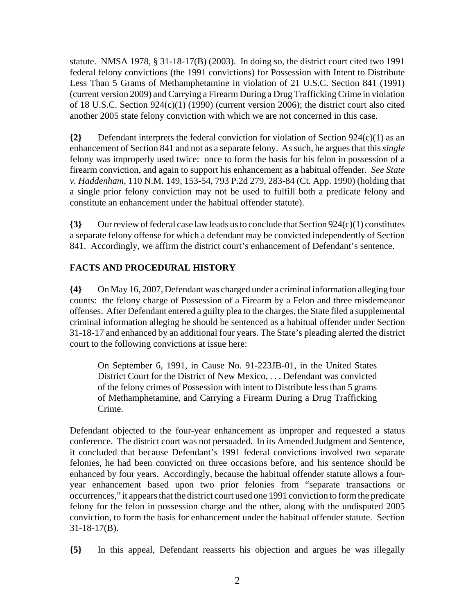statute. NMSA 1978, § 31-18-17(B) (2003). In doing so, the district court cited two 1991 federal felony convictions (the 1991 convictions) for Possession with Intent to Distribute Less Than 5 Grams of Methamphetamine in violation of 21 U.S.C. Section 841 (1991) (current version 2009) and Carrying a Firearm During a Drug Trafficking Crime in violation of 18 U.S.C. Section 924(c)(1) (1990) (current version 2006); the district court also cited another 2005 state felony conviction with which we are not concerned in this case.

**{2}** Defendant interprets the federal conviction for violation of Section 924(c)(1) as an enhancement of Section 841 and not as a separate felony. As such, he argues that this *single* felony was improperly used twice: once to form the basis for his felon in possession of a firearm conviction, and again to support his enhancement as a habitual offender. *See State v. Haddenham*, 110 N.M. 149, 153-54, 793 P.2d 279, 283-84 (Ct. App. 1990) (holding that a single prior felony conviction may not be used to fulfill both a predicate felony and constitute an enhancement under the habitual offender statute).

**{3}** Our review of federal case law leads us to conclude that Section 924(c)(1) constitutes a separate felony offense for which a defendant may be convicted independently of Section 841. Accordingly, we affirm the district court's enhancement of Defendant's sentence.

# **FACTS AND PROCEDURAL HISTORY**

**{4}** On May 16, 2007, Defendant was charged under a criminal information alleging four counts: the felony charge of Possession of a Firearm by a Felon and three misdemeanor offenses. After Defendant entered a guilty plea to the charges, the State filed a supplemental criminal information alleging he should be sentenced as a habitual offender under Section 31-18-17 and enhanced by an additional four years. The State's pleading alerted the district court to the following convictions at issue here:

On September 6, 1991, in Cause No. 91-223JB-01, in the United States District Court for the District of New Mexico, . . . Defendant was convicted of the felony crimes of Possession with intent to Distribute less than 5 grams of Methamphetamine, and Carrying a Firearm During a Drug Trafficking Crime.

Defendant objected to the four-year enhancement as improper and requested a status conference. The district court was not persuaded. In its Amended Judgment and Sentence, it concluded that because Defendant's 1991 federal convictions involved two separate felonies, he had been convicted on three occasions before, and his sentence should be enhanced by four years. Accordingly, because the habitual offender statute allows a fouryear enhancement based upon two prior felonies from "separate transactions or occurrences," it appears that the district court used one 1991 conviction to form the predicate felony for the felon in possession charge and the other, along with the undisputed 2005 conviction, to form the basis for enhancement under the habitual offender statute. Section 31-18-17(B).

**{5}** In this appeal, Defendant reasserts his objection and argues he was illegally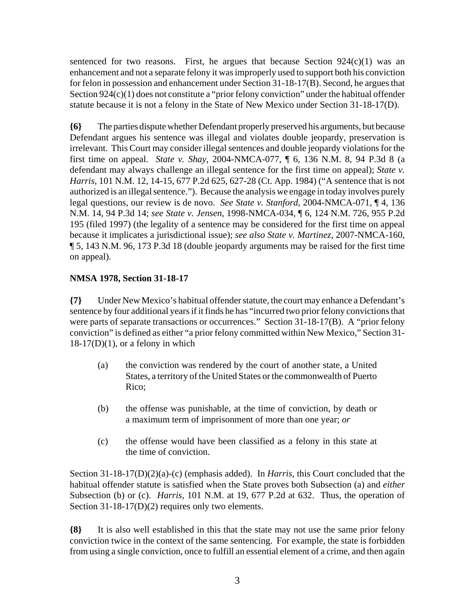sentenced for two reasons. First, he argues that because Section  $924(c)(1)$  was an enhancement and not a separate felony it was improperly used to support both his conviction for felon in possession and enhancement under Section 31-18-17(B). Second, he argues that Section 924(c)(1) does not constitute a "prior felony conviction" under the habitual offender statute because it is not a felony in the State of New Mexico under Section 31-18-17(D).

**{6}** The parties dispute whether Defendant properly preserved his arguments, but because Defendant argues his sentence was illegal and violates double jeopardy, preservation is irrelevant. This Court may consider illegal sentences and double jeopardy violations for the first time on appeal. *State v. Shay*, 2004-NMCA-077, ¶ 6, 136 N.M. 8, 94 P.3d 8 (a defendant may always challenge an illegal sentence for the first time on appeal); *State v. Harris*, 101 N.M. 12, 14-15, 677 P.2d 625, 627-28 (Ct. App. 1984) ("A sentence that is not authorized is an illegal sentence."). Because the analysis we engage in today involves purely legal questions, our review is de novo. *See State v. Stanford*, 2004-NMCA-071, ¶ 4, 136 N.M. 14, 94 P.3d 14; *see State v. Jensen*, 1998-NMCA-034, ¶ 6, 124 N.M. 726, 955 P.2d 195 (filed 1997) (the legality of a sentence may be considered for the first time on appeal because it implicates a jurisdictional issue); *see also State v. Martinez*, 2007-NMCA-160, ¶ 5, 143 N.M. 96, 173 P.3d 18 (double jeopardy arguments may be raised for the first time on appeal).

# **NMSA 1978, Section 31-18-17**

**{7}** Under New Mexico's habitual offender statute, the court may enhance a Defendant's sentence by four additional years if it finds he has "incurred two prior felony convictions that were parts of separate transactions or occurrences." Section 31-18-17(B). A "prior felony conviction" is defined as either "a prior felony committed within New Mexico," Section 31-  $18-17(D)(1)$ , or a felony in which

- (a) the conviction was rendered by the court of another state, a United States, a territory of the United States or the commonwealth of Puerto Rico;
- (b) the offense was punishable, at the time of conviction, by death or a maximum term of imprisonment of more than one year; *or*
- (c) the offense would have been classified as a felony in this state at the time of conviction.

Section 31-18-17(D)(2)(a)-(c) (emphasis added). In *Harris*, this Court concluded that the habitual offender statute is satisfied when the State proves both Subsection (a) and *either* Subsection (b) or (c). *Harris*, 101 N.M. at 19, 677 P.2d at 632. Thus, the operation of Section 31-18-17(D)(2) requires only two elements.

**{8}** It is also well established in this that the state may not use the same prior felony conviction twice in the context of the same sentencing. For example, the state is forbidden from using a single conviction, once to fulfill an essential element of a crime, and then again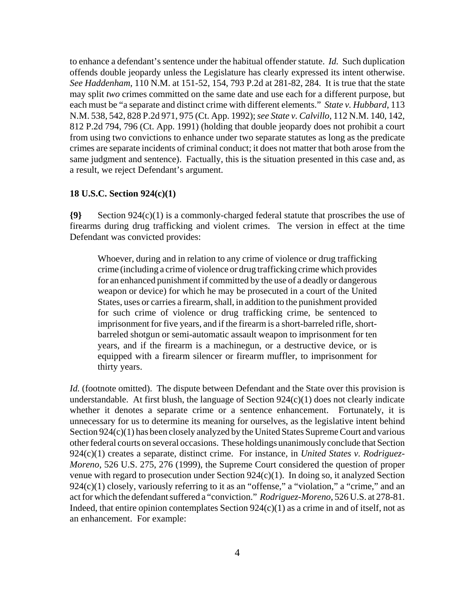to enhance a defendant's sentence under the habitual offender statute. *Id.* Such duplication offends double jeopardy unless the Legislature has clearly expressed its intent otherwise. *See Haddenham*, 110 N.M. at 151-52, 154, 793 P.2d at 281-82, 284. It is true that the state may split *two* crimes committed on the same date and use each for a different purpose, but each must be "a separate and distinct crime with different elements." *State v. Hubbard*, 113 N.M. 538, 542, 828 P.2d 971, 975 (Ct. App. 1992); *see State v. Calvillo*, 112 N.M. 140, 142, 812 P.2d 794, 796 (Ct. App. 1991) (holding that double jeopardy does not prohibit a court from using two convictions to enhance under two separate statutes as long as the predicate crimes are separate incidents of criminal conduct; it does not matter that both arose from the same judgment and sentence). Factually, this is the situation presented in this case and, as a result, we reject Defendant's argument.

### **18 U.S.C. Section 924(c)(1)**

**{9}** Section 924(c)(1) is a commonly-charged federal statute that proscribes the use of firearms during drug trafficking and violent crimes. The version in effect at the time Defendant was convicted provides:

Whoever, during and in relation to any crime of violence or drug trafficking crime (including a crime of violence or drug trafficking crime which provides for an enhanced punishment if committed by the use of a deadly or dangerous weapon or device) for which he may be prosecuted in a court of the United States, uses or carries a firearm, shall, in addition to the punishment provided for such crime of violence or drug trafficking crime, be sentenced to imprisonment for five years, and if the firearm is a short-barreled rifle, shortbarreled shotgun or semi-automatic assault weapon to imprisonment for ten years, and if the firearm is a machinegun, or a destructive device, or is equipped with a firearm silencer or firearm muffler, to imprisonment for thirty years.

*Id.* (footnote omitted). The dispute between Defendant and the State over this provision is understandable. At first blush, the language of Section  $924(c)(1)$  does not clearly indicate whether it denotes a separate crime or a sentence enhancement. Fortunately, it is unnecessary for us to determine its meaning for ourselves, as the legislative intent behind Section 924(c)(1) has been closely analyzed by the United States Supreme Court and various other federal courts on several occasions. These holdings unanimously conclude that Section 924(c)(1) creates a separate, distinct crime. For instance, in *United States v. Rodriguez-Moreno*, 526 U.S. 275, 276 (1999), the Supreme Court considered the question of proper venue with regard to prosecution under Section 924(c)(1). In doing so, it analyzed Section  $924(c)(1)$  closely, variously referring to it as an "offense," a "violation," a "crime," and an act for which the defendant suffered a "conviction." *Rodriguez-Moreno*, 526 U.S. at 278-81. Indeed, that entire opinion contemplates Section  $924(c)(1)$  as a crime in and of itself, not as an enhancement. For example: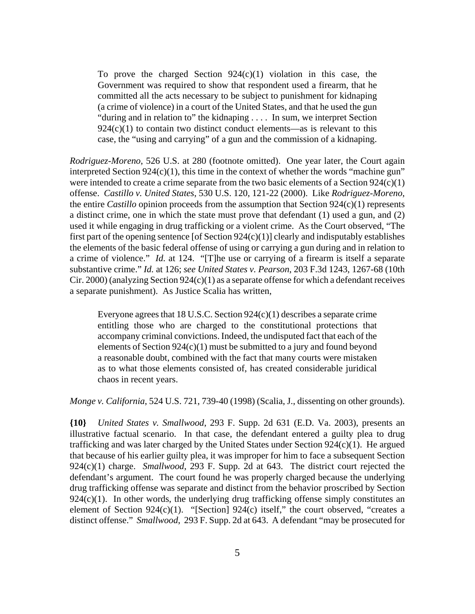To prove the charged Section  $924(c)(1)$  violation in this case, the Government was required to show that respondent used a firearm, that he committed all the acts necessary to be subject to punishment for kidnaping (a crime of violence) in a court of the United States, and that he used the gun "during and in relation to" the kidnaping . . . . In sum, we interpret Section  $924(c)(1)$  to contain two distinct conduct elements—as is relevant to this case, the "using and carrying" of a gun and the commission of a kidnaping.

*Rodriguez-Moreno*, 526 U.S. at 280 (footnote omitted). One year later, the Court again interpreted Section  $924(c)(1)$ , this time in the context of whether the words "machine gun" were intended to create a crime separate from the two basic elements of a Section 924(c)(1) offense. *Castillo v. United States*, 530 U.S. 120, 121-22 (2000). Like *Rodriguez-Moreno*, the entire *Castillo* opinion proceeds from the assumption that Section 924(c)(1) represents a distinct crime, one in which the state must prove that defendant (1) used a gun, and (2) used it while engaging in drug trafficking or a violent crime. As the Court observed, "The first part of the opening sentence [of Section  $924(c)(1)$ ] clearly and indisputably establishes the elements of the basic federal offense of using or carrying a gun during and in relation to a crime of violence." *Id.* at 124. "[T]he use or carrying of a firearm is itself a separate substantive crime." *Id.* at 126; *see United States v. Pearson*, 203 F.3d 1243, 1267-68 (10th Cir. 2000) (analyzing Section  $924(c)(1)$  as a separate offense for which a defendant receives a separate punishment). As Justice Scalia has written,

Everyone agrees that 18 U.S.C. Section 924(c)(1) describes a separate crime entitling those who are charged to the constitutional protections that accompany criminal convictions. Indeed, the undisputed fact that each of the elements of Section 924(c)(1) must be submitted to a jury and found beyond a reasonable doubt, combined with the fact that many courts were mistaken as to what those elements consisted of, has created considerable juridical chaos in recent years.

*Monge v. California*, 524 U.S. 721, 739-40 (1998) (Scalia, J., dissenting on other grounds).

**{10}** *United States v. Smallwood*, 293 F. Supp. 2d 631 (E.D. Va. 2003), presents an illustrative factual scenario. In that case, the defendant entered a guilty plea to drug trafficking and was later charged by the United States under Section 924(c)(1). He argued that because of his earlier guilty plea, it was improper for him to face a subsequent Section 924(c)(1) charge. *Smallwood*, 293 F. Supp. 2d at 643. The district court rejected the defendant's argument. The court found he was properly charged because the underlying drug trafficking offense was separate and distinct from the behavior proscribed by Section  $924(c)(1)$ . In other words, the underlying drug trafficking offense simply constitutes an element of Section 924(c)(1). "[Section] 924(c) itself," the court observed, "creates a distinct offense." *Smallwood*, 293 F. Supp. 2d at 643. A defendant "may be prosecuted for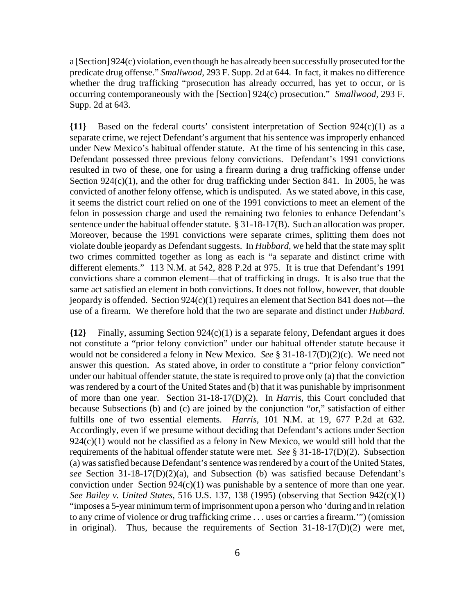a [Section] 924(c) violation, even though he has already been successfully prosecuted for the predicate drug offense." *Smallwood*, 293 F. Supp. 2d at 644. In fact, it makes no difference whether the drug trafficking "prosecution has already occurred, has yet to occur, or is occurring contemporaneously with the [Section] 924(c) prosecution." *Smallwood*, 293 F. Supp. 2d at 643.

**{11}** Based on the federal courts' consistent interpretation of Section 924(c)(1) as a separate crime, we reject Defendant's argument that his sentence was improperly enhanced under New Mexico's habitual offender statute. At the time of his sentencing in this case, Defendant possessed three previous felony convictions. Defendant's 1991 convictions resulted in two of these, one for using a firearm during a drug trafficking offense under Section  $924(c)(1)$ , and the other for drug trafficking under Section 841. In 2005, he was convicted of another felony offense, which is undisputed. As we stated above, in this case, it seems the district court relied on one of the 1991 convictions to meet an element of the felon in possession charge and used the remaining two felonies to enhance Defendant's sentence under the habitual offender statute. § 31-18-17(B). Such an allocation was proper. Moreover, because the 1991 convictions were separate crimes, splitting them does not violate double jeopardy as Defendant suggests. In *Hubbard*, we held that the state may split two crimes committed together as long as each is "a separate and distinct crime with different elements." 113 N.M. at 542, 828 P.2d at 975. It is true that Defendant's 1991 convictions share a common element—that of trafficking in drugs. It is also true that the same act satisfied an element in both convictions. It does not follow, however, that double jeopardy is offended. Section  $924(c)(1)$  requires an element that Section 841 does not—the use of a firearm. We therefore hold that the two are separate and distinct under *Hubbard*.

**{12}** Finally, assuming Section 924(c)(1) is a separate felony, Defendant argues it does not constitute a "prior felony conviction" under our habitual offender statute because it would not be considered a felony in New Mexico. *See* § 31-18-17(D)(2)(c). We need not answer this question. As stated above, in order to constitute a "prior felony conviction" under our habitual offender statute, the state is required to prove only (a) that the conviction was rendered by a court of the United States and (b) that it was punishable by imprisonment of more than one year. Section 31-18-17(D)(2). In *Harris*, this Court concluded that because Subsections (b) and (c) are joined by the conjunction "or," satisfaction of either fulfills one of two essential elements. *Harris*, 101 N.M. at 19, 677 P.2d at 632. Accordingly, even if we presume without deciding that Defendant's actions under Section  $924(c)(1)$  would not be classified as a felony in New Mexico, we would still hold that the requirements of the habitual offender statute were met. *See* § 31-18-17(D)(2). Subsection (a) was satisfied because Defendant's sentence was rendered by a court of the United States, *see* Section 31-18-17(D)(2)(a), and Subsection (b) was satisfied because Defendant's conviction under Section  $924(c)(1)$  was punishable by a sentence of more than one year. *See Bailey v. United States*, 516 U.S. 137, 138 (1995) (observing that Section 942(c)(1) "imposes a 5-year minimum term of imprisonment upon a person who 'during and in relation to any crime of violence or drug trafficking crime . . . uses or carries a firearm.'") (omission in original). Thus, because the requirements of Section 31-18-17(D)(2) were met,